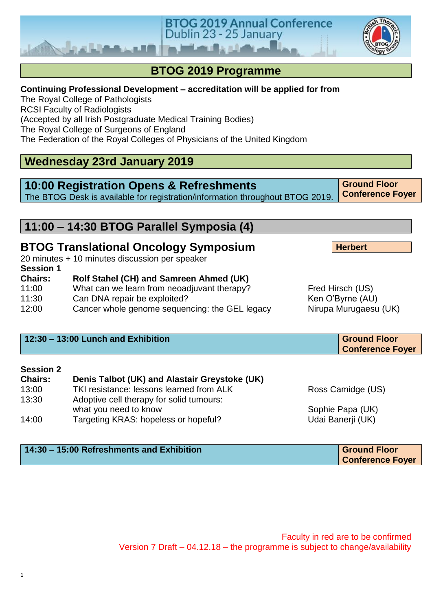#### **BTOG 2019 Programme Continuing Professional Development – accreditation will be applied for from** The Royal College of Pathologists RCSI Faculty of Radiologists (Accepted by all Irish Postgraduate Medical Training Bodies) The Royal College of Surgeons of England The Federation of the Royal Colleges of Physicians of the United Kingdom **Wednesday 23rd January 2019 10:00 Registration Opens & Refreshments** The BTOG Desk is available for registration/information throughout BTOG 2019. **Ground Floor Conference Foyer 11:00 – 14:30 BTOG Parallel Symposia (4) BTOG Translational Oncology Symposium** 20 minutes + 10 minutes discussion per speaker **Session 1 Chairs: Rolf Stahel (CH) and Samreen Ahmed (UK)** 11:00 What can we learn from neoadjuvant therapy? Fred Hirsch (US)<br>11:30 Can DNA repair be exploited? Ken O'Byrne (AU) **Herbert**

**BTOG 2019 Annual Conference** 

Dublin 23 - 25 January

- 11:30 Can DNA repair be exploited?
- 12:00 Cancer whole genome sequencing: the GEL legacy Nirupa Murugaesu (UK)

| $12:30 - 13:00$ Lunch and Exhibition | <b>Ground Floor</b>     |
|--------------------------------------|-------------------------|
|                                      | <b>Conference Foyer</b> |

#### **Session 2**

| <b>Chairs:</b> | Denis Talbot (UK) and Alastair Greystoke (UK) |                   |
|----------------|-----------------------------------------------|-------------------|
| 13:00          | TKI resistance: lessons learned from ALK      | Ross Camidge (US) |
| 13:30          | Adoptive cell therapy for solid tumours:      |                   |
|                | what you need to know                         | Sophie Papa (UK)  |
| 14:00          | Targeting KRAS: hopeless or hopeful?          | Udai Banerji (UK) |

#### **14:30 – 15:00 Refreshments and Exhibition Ground Floor** Ground Floor

**Conference Foyer**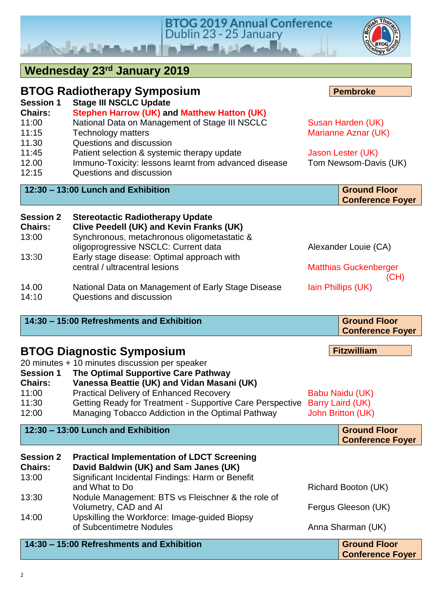| <b>Chairs:</b><br>11:00<br>11:15            | Stephen Harrow (UK) and Matthew Hatton (UK)<br>National Data on Management of Stage III NSCLC<br><b>Technology matters</b>                                                 | Susan Harden (UK)<br>Marianne Aznar (UK)                        |
|---------------------------------------------|----------------------------------------------------------------------------------------------------------------------------------------------------------------------------|-----------------------------------------------------------------|
| 11.30<br>11:45                              | Questions and discussion<br>Patient selection & systemic therapy update                                                                                                    |                                                                 |
| 12.00<br>12:15                              | Immuno-Toxicity: lessons learnt from advanced disease<br>Questions and discussion                                                                                          | Jason Lester (UK)<br>Tom Newsom-Davis (UK)                      |
|                                             | 12:30 - 13:00 Lunch and Exhibition                                                                                                                                         | <b>Ground Floor</b><br><b>Conference Foyer</b>                  |
| <b>Session 2</b><br><b>Chairs:</b><br>13:00 | <b>Stereotactic Radiotherapy Update</b><br>Clive Peedell (UK) and Kevin Franks (UK)<br>Synchronous, metachronous oligometastatic &<br>oligoprogressive NSCLC: Current data | Alexander Louie (CA)                                            |
| 13:30                                       | Early stage disease: Optimal approach with<br>central / ultracentral lesions                                                                                               | <b>Matthias Guckenberger</b><br>(CH)                            |
| 14.00<br>14:10                              | National Data on Management of Early Stage Disease<br>Questions and discussion                                                                                             | Iain Phillips (UK)                                              |
|                                             | 14:30 - 15:00 Refreshments and Exhibition                                                                                                                                  | <b>Ground Floor</b><br><b>Conference Foyer</b>                  |
|                                             | <b>BTOG Diagnostic Symposium</b>                                                                                                                                           | <b>Fitzwilliam</b>                                              |
| <b>Session 1</b><br><b>Chairs:</b>          | 20 minutes + 10 minutes discussion per speaker<br>The Optimal Supportive Care Pathway<br>Vanessa Beattie (UK) and Vidan Masani (UK)                                        |                                                                 |
| 11:00<br>11:30<br>12:00                     | <b>Practical Delivery of Enhanced Recovery</b><br>Getting Ready for Treatment - Supportive Care Perspective<br>Managing Tobacco Addiction in the Optimal Pathway           | Babu Naidu (UK)<br>Barry Laird (UK)<br><b>John Britton (UK)</b> |
|                                             | 12:30 - 13:00 Lunch and Exhibition                                                                                                                                         | <b>Ground Floor</b><br><b>Conference Foyer</b>                  |
| <b>Session 2</b><br><b>Chairs:</b><br>13:00 | <b>Practical Implementation of LDCT Screening</b><br>David Baldwin (UK) and Sam Janes (UK)<br>Significant Incidental Findings: Harm or Benefit                             |                                                                 |
| 13:30                                       | and What to Do<br>Nodule Management: BTS vs Fleischner & the role of                                                                                                       | Richard Booton (UK)                                             |
| 14:00                                       | Volumetry, CAD and AI<br>Upskilling the Workforce: Image-guided Biopsy                                                                                                     | Fergus Gleeson (UK)                                             |
|                                             | of Subcentimetre Nodules                                                                                                                                                   | Anna Sharman (UK)                                               |

**BTOG 2019 Annual Conference**<br>Dublin 23 - 25 January

#### **14:30 – 15:00 Refreshments and Exhibition Ground Floor**

I

**Wednesday 23rd January 2019**

فبالمراد والمستنقط والمتعادد ويسترقا ويروأ

**BTOG Radiotherapy Symposium**

**Session 1 Stage III NSCLC Update**



**Pembroke**

**Conference Foyer**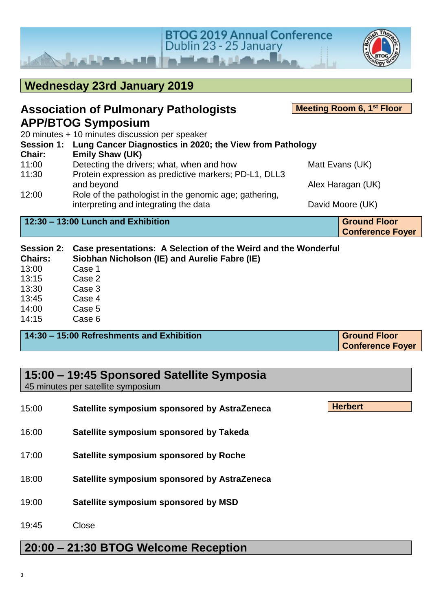

| <b>Wednesday 23rd January 2019</b>  |                                                                                                                 |                  |                                                |
|-------------------------------------|-----------------------------------------------------------------------------------------------------------------|------------------|------------------------------------------------|
|                                     | <b>Association of Pulmonary Pathologists</b>                                                                    |                  | Meeting Room 6, 1 <sup>st</sup> Floor          |
|                                     | <b>APP/BTOG Symposium</b>                                                                                       |                  |                                                |
|                                     | 20 minutes + 10 minutes discussion per speaker                                                                  |                  |                                                |
|                                     | Session 1: Lung Cancer Diagnostics in 2020; the View from Pathology                                             |                  |                                                |
| Chair:                              | <b>Emily Shaw (UK)</b>                                                                                          |                  |                                                |
| 11:00                               | Detecting the drivers; what, when and how                                                                       |                  | Matt Evans (UK)                                |
| 11:30                               | Protein expression as predictive markers; PD-L1, DLL3                                                           |                  |                                                |
|                                     | and beyond                                                                                                      |                  | Alex Haragan (UK)                              |
| 12:00                               | Role of the pathologist in the genomic age; gathering,<br>interpreting and integrating the data                 | David Moore (UK) |                                                |
|                                     | 12:30 - 13:00 Lunch and Exhibition                                                                              |                  | <b>Ground Floor</b><br><b>Conference Foyer</b> |
| <b>Session 2:</b><br><b>Chairs:</b> | Case presentations: A Selection of the Weird and the Wonderful<br>Siobhan Nicholson (IE) and Aurelie Fabre (IE) |                  |                                                |
| 13:00                               | Case 1                                                                                                          |                  |                                                |
| 13:15                               | Case 2                                                                                                          |                  |                                                |
| 13:30                               | Case 3                                                                                                          |                  |                                                |
| 13.45                               | Case 4                                                                                                          |                  |                                                |

- 13:45 Case 4 14:00 Case 5
- 14:15 Case 6

| 14:30 – 15:00 Refreshments and Exhibition | <b>Ground Floor</b>     |  |
|-------------------------------------------|-------------------------|--|
|                                           | <b>Conference Foyer</b> |  |

| 15:00 – 19:45 Sponsored Satellite Symposia<br>45 minutes per satellite symposium |                                              |                |  |
|----------------------------------------------------------------------------------|----------------------------------------------|----------------|--|
| 15:00                                                                            | Satellite symposium sponsored by AstraZeneca | <b>Herbert</b> |  |
| 16:00                                                                            | Satellite symposium sponsored by Takeda      |                |  |
| 17:00                                                                            | Satellite symposium sponsored by Roche       |                |  |
| 18:00                                                                            | Satellite symposium sponsored by AstraZeneca |                |  |
| 19:00                                                                            | Satellite symposium sponsored by MSD         |                |  |
| 19:45                                                                            | Close                                        |                |  |
| 20:00 – 21:30 BTOG Welcome Reception                                             |                                              |                |  |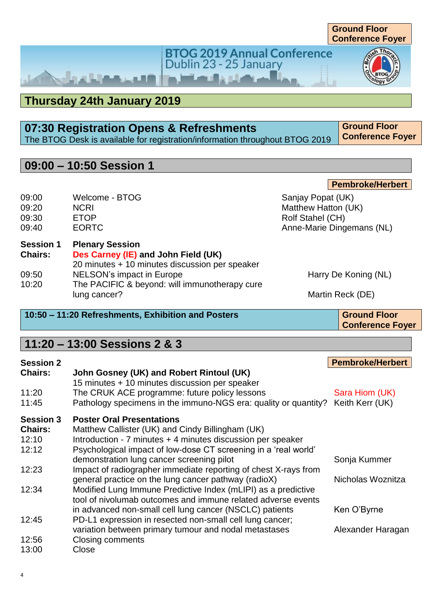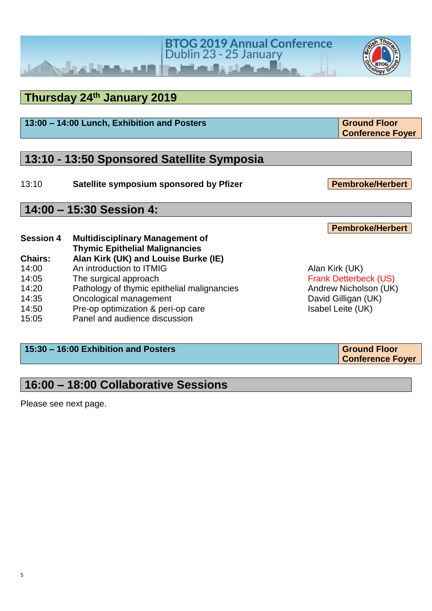#### **Thursday 24 th January 2019**

کا استفاده

### **13:10 - 13:50 Sponsored Satellite Symposia**

13:10 **Satellite symposium sponsored by Pfizer**

**Session 4 Multidisciplinary Management of Thymic Epithelial Malignancies Chairs: Alan Kirk (UK) and Louise Burke (IE)** 15:05 Panel and audience discussion

#### **15:30 – 16:00 Exhibition and Posters Ground Floor Ground Floor**

### **16:00 – 18:00 Collaborative Sessions**

Please see next page.

**14:00 – 15:30 Session 4:** 

14:00 An introduction to ITMIG Alan Kirk (UK) 14:05 The surgical approach **Frank Detterbeck (US)** 14:20 Pathology of thymic epithelial malignancies **Andrew Nicholson (UK)** 14:35 Oncological management David Gilligan (UK) 14:50 Pre-op optimization & peri-op care Isabel Leite (UK)

**BTOG 2019 Annual Conference**<br>Dublin 23 - 25 January

**13:00 – 14:00 Lunch, Exhibition and Posters <b>Ground Floor Ground Floor** 

**Pembroke/Herbert**

**Conference Foyer**

**Conference Foyer**



**Pembroke/Herbert**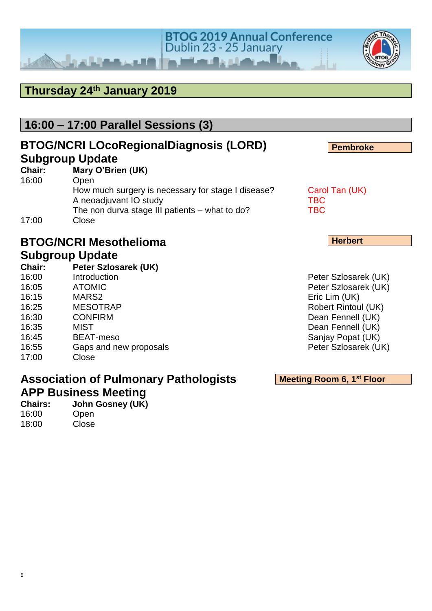#### **Thursday 24 th January 2019**

 $x$  Line

#### **16:00 – 17:00 Parallel Sessions (3)**

#### **BTOG/NCRI LOcoRegionalDiagnosis (LORD) Subgroup Update**

| Chair: | Mary O'Brien (UK)                                  |                |
|--------|----------------------------------------------------|----------------|
| 16:00  | Open                                               |                |
|        | How much surgery is necessary for stage I disease? | Carol Tan (UK) |
|        | A neoadjuvant IO study                             | <b>TBC</b>     |
|        | The non durva stage III patients – what to do?     | <b>TBC</b>     |
| 17:00  | Close                                              |                |

### **BTOG/NCRI Mesothelioma**

## **Subgroup Update**<br>Chair: Peter Szlos

**Chair: Peter Szlosarek (UK)** 16:00 Introduction **Introduction** Peter Szlosarek (UK) 16:05 ATOMIC Peter Szlosarek (UK) 16:15 MARS2 Eric Lim (UK) 16:25 MESOTRAP Robert Rintoul (UK) 16:30 CONFIRM Dean Fennell (UK) 16:35 MIST Dean Fennell (UK) 16:45 BEAT-meso Sanjay Popat (UK) 16:55 Gaps and new proposals **Peter Szlosarek (UK)** 17:00 Close

#### **Association of Pulmonary Pathologists APP Business Meeting**

**Chairs: John Gosney (UK)** 16:00 Open 18:00 Close

**Herbert**

**Pembroke**

**Meeting Room 6, 1st Floor** 



**BTOG 2019 Annual Conference** Dublin 23 - 25 January

the better the chairs of

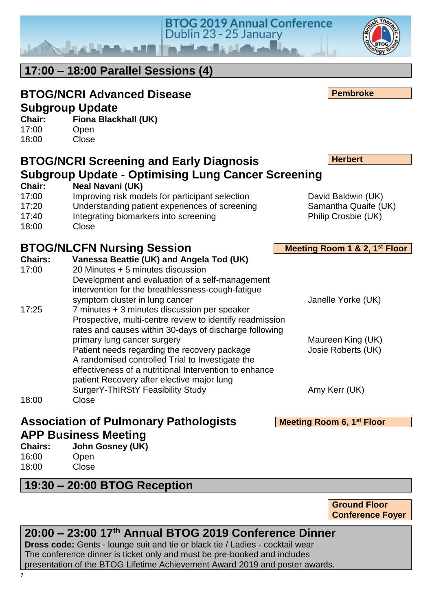**20:00 – 23:00 17 th Annual BTOG 2019 Conference Dinner**

**Dress code:** Gents - lounge suit and tie or black tie / Ladies - cocktail wear The conference dinner is ticket only and must be pre-booked and includes presentation of the BTOG Lifetime Achievement Award 2019 and poster awards.

**19:30 – 20:00 BTOG Reception**

| Chairs: | <b>John Gosney (</b> |  |
|---------|----------------------|--|
| 16:00   | Open                 |  |
| 18:00   | Close                |  |

**Chairs: Vanessa Beattie (UK) and Angela Tod (UK)** 17:00 20 Minutes + 5 minutes discussion Development and evaluation of a self-management intervention for the breathlessness-cough-fatigue 17:25 7 minutes + 3 minutes discussion per speaker Prospective, multi-centre review to identify readmission rates and causes within 30-days of discharge following primary lung cancer surgery Maureen King (UK) Patient needs regarding the recovery package Josie Roberts (UK) A randomised controlled Trial to Investigate the effectiveness of a nutritional Intervention to enhance patient Recovery after elective major lung SurgerY-ThIRStY Feasibility Study **Amy Kerr (UK)** 6 Amy Kerr (UK) 18:00 Close

**Meeting Room 1 & 2, 1st Floor**

**Herbert**

**Meeting Room 6, 1st Floor** 

**Ground Floor Conference Foyer**

**17:00 – 18:00 Parallel Sessions (4)**

**BTOG/NCRI Screening and Early Diagnosis** 

# **Subgroup Update**

**Chair: Fiona Blackhall (UK)**

**BTOG/NCRI Advanced Disease** 

17:00 Open 18:00 Close

**Chair: Neal Navani (UK)** 17:00 Improving risk models for participant selection David Baldwin (UK) 17:20 Understanding patient experiences of screening Samantha Quaife (UK) 17:40 Integrating biomarkers into screening The South Philip Crosbie (UK) 18:00 Close **BTOG/NLCFN Nursing Session** symptom cluster in lung cancer and the symptom cluster in lung cancer and the symptom of  $J$  anelle Yorke (UK)

**Subgroup Update - Optimising Lung Cancer Screening**

Dublin 23 - 25 January

**Association of Pulmonary Pathologists APP Business Meeting**

**Chairs: John Gosney (UK)** 16:00 Open 18:00 Close

**BTOG 2019 Annual Conference** 

**Pembroke**